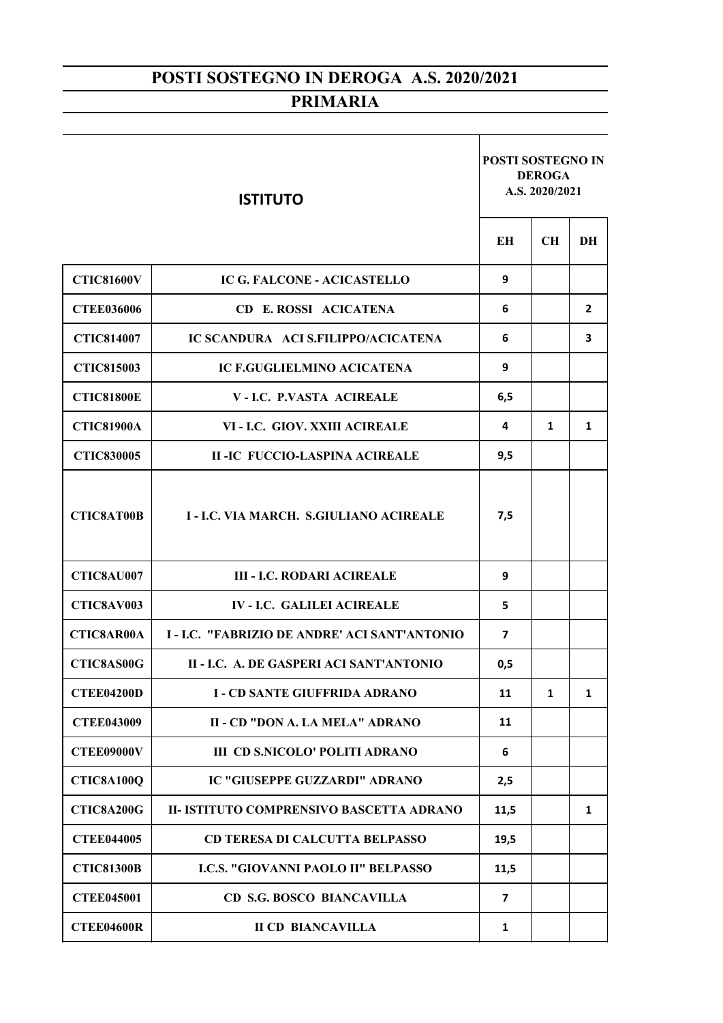| <b>ISTITUTO</b>   |                                                    | <b>POSTI SOSTEGNO IN</b><br><b>DEROGA</b><br>A.S. 2020/2021 |              |    |
|-------------------|----------------------------------------------------|-------------------------------------------------------------|--------------|----|
|                   |                                                    | EН                                                          | <b>CH</b>    | DH |
| <b>CTIC81600V</b> | <b>IC G. FALCONE - ACICASTELLO</b>                 | 9                                                           |              |    |
| <b>CTEE036006</b> | <b>CD E. ROSSI ACICATENA</b>                       | 6                                                           |              | 2  |
| <b>CTIC814007</b> | IC SCANDURA ACI S.FILIPPO/ACICATENA                | 6                                                           |              | 3  |
| <b>CTIC815003</b> | <b>IC F.GUGLIELMINO ACICATENA</b>                  | 9                                                           |              |    |
| <b>CTIC81800E</b> | <b>V-I.C. P.VASTA ACIREALE</b>                     | 6,5                                                         |              |    |
| <b>CTIC81900A</b> | VI - I.C. GIOV. XXIII ACIREALE                     | 4                                                           | 1            | 1  |
| <b>CTIC830005</b> | <b>II-IC FUCCIO-LASPINA ACIREALE</b>               | 9,5                                                         |              |    |
| <b>CTIC8AT00B</b> | I - I.C. VIA MARCH. S.GIULIANO ACIREALE            | 7,5                                                         |              |    |
| CTIC8AU007        | <b>III - I.C. RODARI ACIREALE</b>                  | 9                                                           |              |    |
| CTIC8AV003        | <b>IV-LC. GALILEI ACIREALE</b>                     | 5                                                           |              |    |
| <b>CTIC8AR00A</b> | <b>I-I.C. "FABRIZIO DE ANDRE' ACI SANT'ANTONIO</b> | 7                                                           |              |    |
| <b>CTIC8AS00G</b> | II - LC. A. DE GASPERI ACI SANT'ANTONIO            | 0,5                                                         |              |    |
| <b>CTEE04200D</b> | <b>I - CD SANTE GIUFFRIDA ADRANO</b>               | 11                                                          | $\mathbf{1}$ | 1  |
| <b>CTEE043009</b> | II - CD "DON A. LA MELA" ADRANO                    | 11                                                          |              |    |
| <b>CTEE09000V</b> | <b>III CD S.NICOLO' POLITI ADRANO</b>              | 6                                                           |              |    |
| <b>CTIC8A100Q</b> | <b>IC "GIUSEPPE GUZZARDI" ADRANO</b>               | 2,5                                                         |              |    |
| CTIC8A200G        | II- ISTITUTO COMPRENSIVO BASCETTA ADRANO           | 11,5                                                        |              | 1  |
| <b>CTEE044005</b> | <b>CD TERESA DI CALCUTTA BELPASSO</b>              | 19,5                                                        |              |    |
| <b>CTIC81300B</b> | I.C.S. "GIOVANNI PAOLO II" BELPASSO                | 11,5                                                        |              |    |
| <b>CTEE045001</b> | <b>CD S.G. BOSCO BIANCAVILLA</b>                   | $\overline{7}$                                              |              |    |
| <b>CTEE04600R</b> | <b>II CD BIANCAVILLA</b>                           | 1                                                           |              |    |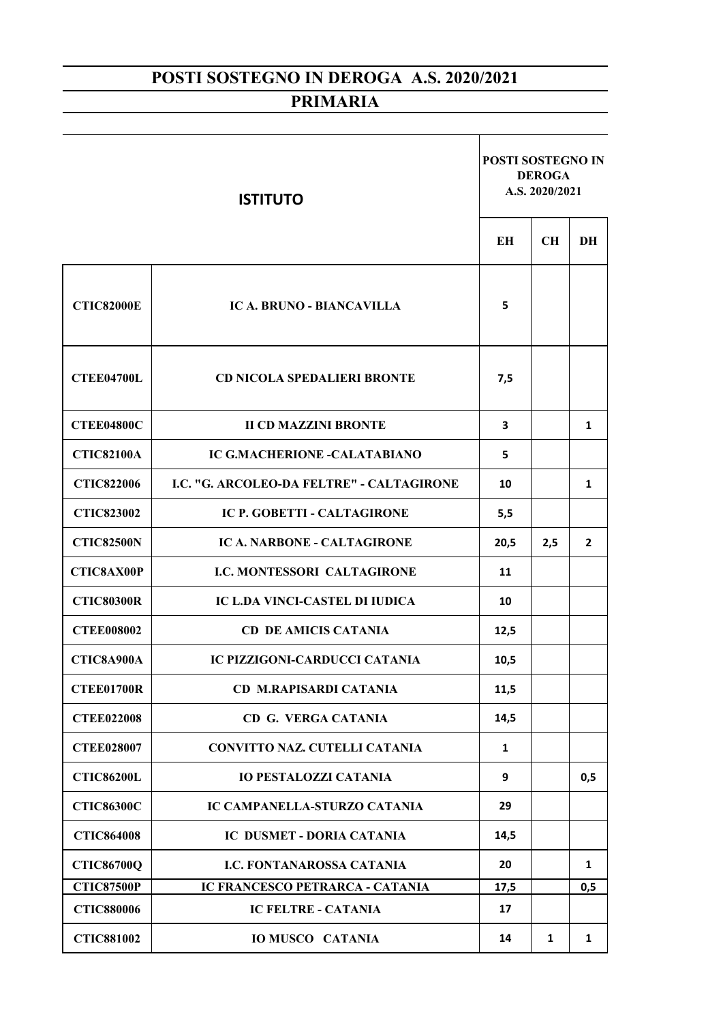| <b>ISTITUTO</b>   |                                           | <b>POSTI SOSTEGNO IN</b><br><b>DEROGA</b><br>A.S. 2020/2021 |              |              |
|-------------------|-------------------------------------------|-------------------------------------------------------------|--------------|--------------|
|                   |                                           | EН                                                          | <b>CH</b>    | DH           |
| <b>CTIC82000E</b> | <b>IC A. BRUNO - BIANCAVILLA</b>          | 5                                                           |              |              |
| <b>CTEE04700L</b> | <b>CD NICOLA SPEDALIERI BRONTE</b>        | 7,5                                                         |              |              |
| <b>CTEE04800C</b> | <b>II CD MAZZINI BRONTE</b>               | 3                                                           |              | 1            |
| <b>CTIC82100A</b> | <b>IC G.MACHERIONE -CALATABIANO</b>       | 5                                                           |              |              |
| <b>CTIC822006</b> | I.C. "G. ARCOLEO-DA FELTRE" - CALTAGIRONE | 10                                                          |              | 1            |
| <b>CTIC823002</b> | IC P. GOBETTI - CALTAGIRONE               | 5,5                                                         |              |              |
| <b>CTIC82500N</b> | <b>IC A. NARBONE - CALTAGIRONE</b>        | 20,5                                                        | 2,5          | $\mathbf{2}$ |
| <b>CTIC8AX00P</b> | <b>I.C. MONTESSORI CALTAGIRONE</b>        | 11                                                          |              |              |
| <b>CTIC80300R</b> | IC L.DA VINCI-CASTEL DI IUDICA            | 10                                                          |              |              |
| <b>CTEE008002</b> | <b>CD DE AMICIS CATANIA</b>               | 12,5                                                        |              |              |
| CTIC8A900A        | <b>IC PIZZIGONI-CARDUCCI CATANIA</b>      | 10,5                                                        |              |              |
| <b>CTEE01700R</b> | <b>CD M.RAPISARDI CATANIA</b>             | 11,5                                                        |              |              |
| <b>CTEE022008</b> | <b>CD G. VERGA CATANIA</b>                | 14,5                                                        |              |              |
| <b>CTEE028007</b> | <b>CONVITTO NAZ. CUTELLI CATANIA</b>      | 1                                                           |              |              |
| <b>CTIC86200L</b> | <b>IO PESTALOZZI CATANIA</b>              | 9                                                           |              | 0,5          |
| <b>CTIC86300C</b> | IC CAMPANELLA-STURZO CATANIA              | 29                                                          |              |              |
| <b>CTIC864008</b> | IC DUSMET - DORIA CATANIA                 | 14,5                                                        |              |              |
| <b>CTIC86700Q</b> | <b>I.C. FONTANAROSSA CATANIA</b>          | 20                                                          |              | 1            |
| <b>CTIC87500P</b> | IC FRANCESCO PETRARCA - CATANIA           | 17,5                                                        |              | 0,5          |
| <b>CTIC880006</b> | <b>IC FELTRE - CATANIA</b>                | 17                                                          |              |              |
| <b>CTIC881002</b> | <b>IO MUSCO CATANIA</b>                   | 14                                                          | $\mathbf{1}$ | 1            |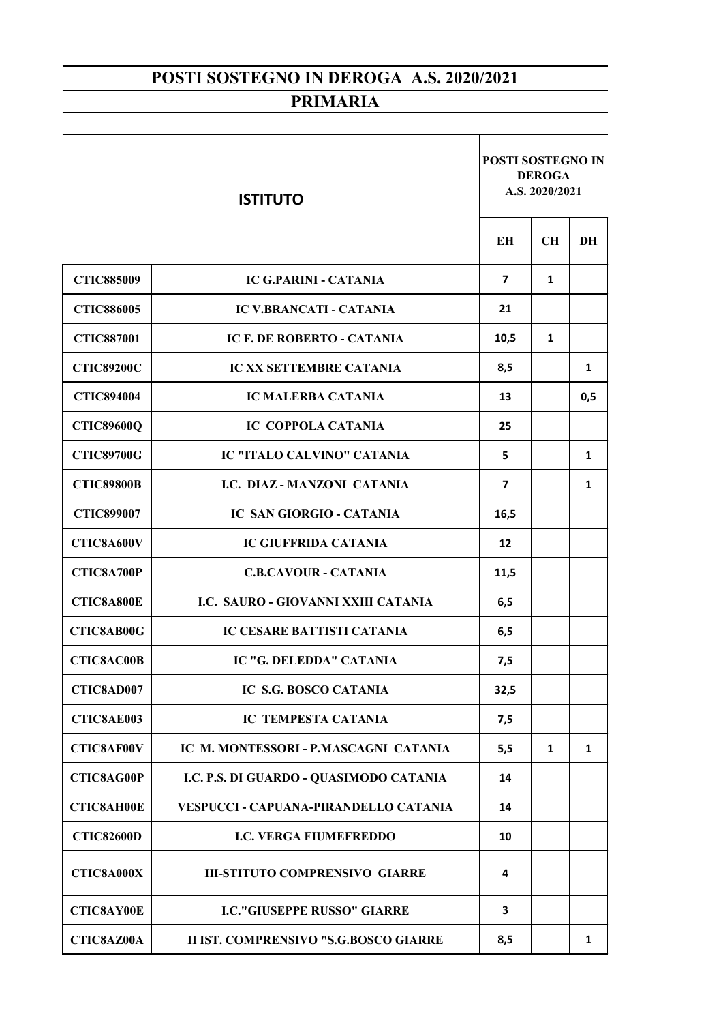| <b>ISTITUTO</b>   |                                         | <b>POSTI SOSTEGNO IN</b><br><b>DEROGA</b><br>A.S. 2020/2021 |              |     |  |
|-------------------|-----------------------------------------|-------------------------------------------------------------|--------------|-----|--|
|                   |                                         | <b>EH</b>                                                   | <b>CH</b>    | DH  |  |
| <b>CTIC885009</b> | <b>IC G.PARINI - CATANIA</b>            | $\overline{7}$                                              | $\mathbf{1}$ |     |  |
| <b>CTIC886005</b> | <b>IC V.BRANCATI - CATANIA</b>          | 21                                                          |              |     |  |
| <b>CTIC887001</b> | <b>IC F. DE ROBERTO - CATANIA</b>       | 10,5                                                        | $\mathbf{1}$ |     |  |
| <b>CTIC89200C</b> | <b>IC XX SETTEMBRE CATANIA</b>          | 8,5                                                         |              | 1   |  |
| <b>CTIC894004</b> | <b>IC MALERBA CATANIA</b>               | 13                                                          |              | 0,5 |  |
| <b>CTIC89600Q</b> | <b>IC COPPOLA CATANIA</b>               | 25                                                          |              |     |  |
| <b>CTIC89700G</b> | <b>IC "ITALO CALVINO" CATANIA</b>       | 5                                                           |              | 1   |  |
| <b>CTIC89800B</b> | I.C. DIAZ - MANZONI CATANIA             | $\overline{7}$                                              |              | 1   |  |
| <b>CTIC899007</b> | <b>IC SAN GIORGIO - CATANIA</b>         | 16,5                                                        |              |     |  |
| CTIC8A600V        | <b>IC GIUFFRIDA CATANIA</b>             | 12                                                          |              |     |  |
| CTIC8A700P        | <b>C.B.CAVOUR - CATANIA</b>             | 11,5                                                        |              |     |  |
| CTIC8A800E        | I.C. SAURO - GIOVANNI XXIII CATANIA     | 6,5                                                         |              |     |  |
| <b>CTIC8AB00G</b> | <b>IC CESARE BATTISTI CATANIA</b>       | 6,5                                                         |              |     |  |
| CTIC8AC00B        | IC "G. DELEDDA" CATANIA                 | 7,5                                                         |              |     |  |
| CTIC8AD007        | <b>IC S.G. BOSCO CATANIA</b>            | 32,5                                                        |              |     |  |
| CTIC8AE003        | <b>IC TEMPESTA CATANIA</b>              | 7,5                                                         |              |     |  |
| CTIC8AF00V        | IC M. MONTESSORI - P.MASCAGNI CATANIA   | 5,5                                                         | 1            | 1   |  |
| CTIC8AG00P        | I.C. P.S. DI GUARDO - QUASIMODO CATANIA | 14                                                          |              |     |  |
| CTIC8AH00E        | VESPUCCI - CAPUANA-PIRANDELLO CATANIA   | 14                                                          |              |     |  |
| <b>CTIC82600D</b> | <b>I.C. VERGA FIUMEFREDDO</b>           | 10                                                          |              |     |  |
| CTIC8A000X        | <b>III-STITUTO COMPRENSIVO GIARRE</b>   | 4                                                           |              |     |  |
| <b>CTIC8AY00E</b> | <b>I.C."GIUSEPPE RUSSO" GIARRE</b>      | 3                                                           |              |     |  |
| CTIC8AZ00A        | II IST. COMPRENSIVO "S.G.BOSCO GIARRE   | 8,5                                                         |              | 1   |  |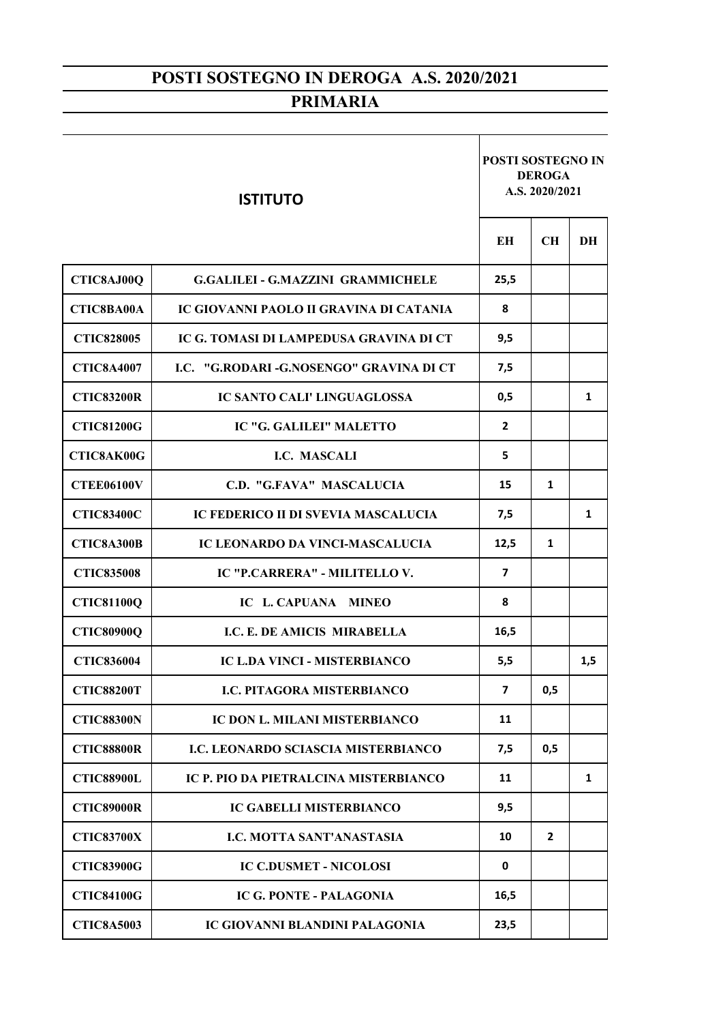| <b>ISTITUTO</b>   |                                            | <b>POSTI SOSTEGNO IN</b><br><b>DEROGA</b><br>A.S. 2020/2021 |                |     |
|-------------------|--------------------------------------------|-------------------------------------------------------------|----------------|-----|
|                   |                                            | <b>EH</b>                                                   | <b>CH</b>      | DH  |
| CTIC8AJ00Q        | <b>G.GALILEI - G.MAZZINI GRAMMICHELE</b>   | 25,5                                                        |                |     |
| <b>CTIC8BA00A</b> | IC GIOVANNI PAOLO II GRAVINA DI CATANIA    | 8                                                           |                |     |
| <b>CTIC828005</b> | IC G. TOMASI DI LAMPEDUSA GRAVINA DI CT    | 9,5                                                         |                |     |
| <b>CTIC8A4007</b> | LC. "G.RODARI-G.NOSENGO" GRAVINA DI CT     | 7,5                                                         |                |     |
| <b>CTIC83200R</b> | <b>IC SANTO CALI' LINGUAGLOSSA</b>         | 0,5                                                         |                | 1   |
| <b>CTIC81200G</b> | IC "G. GALILEI" MALETTO                    | $\overline{2}$                                              |                |     |
| <b>CTIC8AK00G</b> | I.C. MASCALI                               | 5                                                           |                |     |
| <b>CTEE06100V</b> | C.D. "G.FAVA" MASCALUCIA                   | 15                                                          | 1              |     |
| <b>CTIC83400C</b> | IC FEDERICO II DI SVEVIA MASCALUCIA        | 7,5                                                         |                | 1   |
| CTIC8A300B        | IC LEONARDO DA VINCI-MASCALUCIA            | 12,5                                                        | 1              |     |
| <b>CTIC835008</b> | IC "P.CARRERA" - MILITELLO V.              | $\overline{\mathbf{z}}$                                     |                |     |
| <b>CTIC81100Q</b> | IC L. CAPUANA MINEO                        | 8                                                           |                |     |
| <b>CTIC80900Q</b> | I.C. E. DE AMICIS MIRABELLA                | 16,5                                                        |                |     |
| <b>CTIC836004</b> | <b>IC L.DA VINCI - MISTERBIANCO</b>        | 5,5                                                         |                | 1,5 |
| <b>CTIC88200T</b> | <b>I.C. PITAGORA MISTERBIANCO</b>          | $\overline{\mathbf{z}}$                                     | 0,5            |     |
| <b>CTIC88300N</b> | IC DON L. MILANI MISTERBIANCO              | 11                                                          |                |     |
| <b>CTIC88800R</b> | <b>I.C. LEONARDO SCIASCIA MISTERBIANCO</b> | 7,5                                                         | 0,5            |     |
| <b>CTIC88900L</b> | IC P. PIO DA PIETRALCINA MISTERBIANCO      | 11                                                          |                | 1   |
| <b>CTIC89000R</b> | <b>IC GABELLI MISTERBIANCO</b>             | 9,5                                                         |                |     |
| <b>CTIC83700X</b> | <b>I.C. MOTTA SANT'ANASTASIA</b>           | 10                                                          | $\overline{2}$ |     |
| <b>CTIC83900G</b> | <b>IC C.DUSMET - NICOLOSI</b>              | 0                                                           |                |     |
| <b>CTIC84100G</b> | <b>IC G. PONTE - PALAGONIA</b>             | 16,5                                                        |                |     |
| <b>CTIC8A5003</b> | <b>IC GIOVANNI BLANDINI PALAGONIA</b>      | 23,5                                                        |                |     |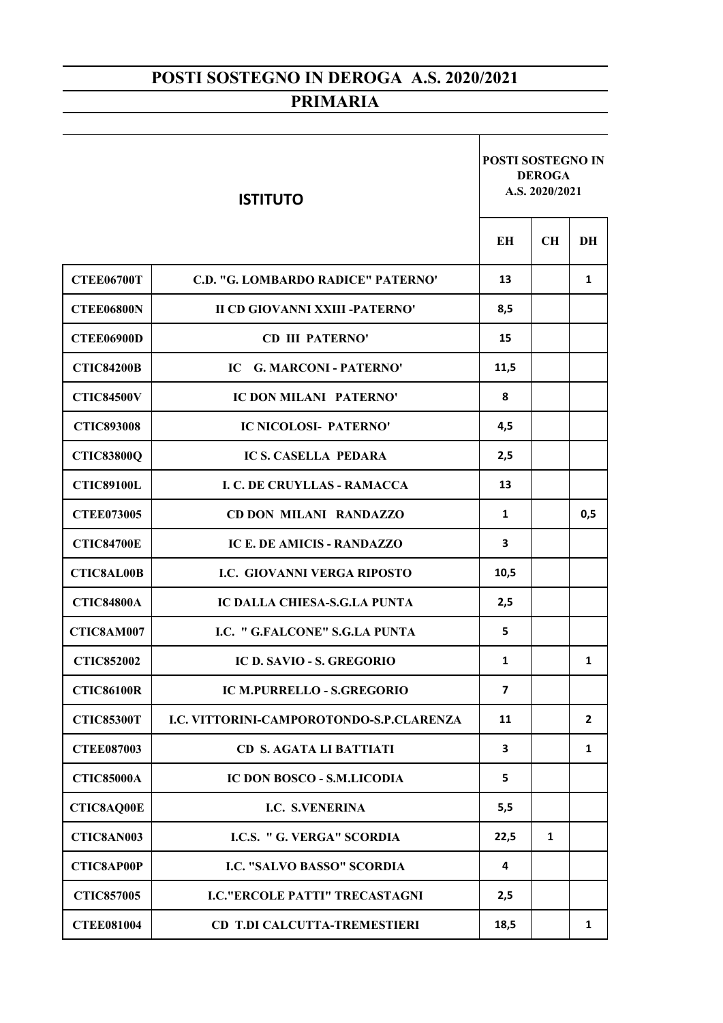| <b>ISTITUTO</b>   |                                          | <b>POSTI SOSTEGNO IN</b><br><b>DEROGA</b><br>A.S. 2020/2021 |           |                |
|-------------------|------------------------------------------|-------------------------------------------------------------|-----------|----------------|
|                   |                                          | EН                                                          | <b>CH</b> | DH             |
| <b>CTEE06700T</b> | C.D. "G. LOMBARDO RADICE" PATERNO'       | 13                                                          |           | 1              |
| <b>CTEE06800N</b> | <b>II CD GIOVANNI XXIII -PATERNO'</b>    | 8,5                                                         |           |                |
| <b>CTEE06900D</b> | <b>CD III PATERNO'</b>                   | 15                                                          |           |                |
| <b>CTIC84200B</b> | <b>G. MARCONI - PATERNO'</b><br>IC -     | 11,5                                                        |           |                |
| <b>CTIC84500V</b> | IC DON MILANI PATERNO'                   | 8                                                           |           |                |
| <b>CTIC893008</b> | <b>IC NICOLOSI- PATERNO'</b>             | 4,5                                                         |           |                |
| <b>CTIC83800Q</b> | <b>IC S. CASELLA PEDARA</b>              | 2,5                                                         |           |                |
| <b>CTIC89100L</b> | <b>I. C. DE CRUYLLAS - RAMACCA</b>       | 13                                                          |           |                |
| <b>CTEE073005</b> | <b>CD DON MILANI RANDAZZO</b>            | 1                                                           |           | 0,5            |
| <b>CTIC84700E</b> | <b>IC E. DE AMICIS - RANDAZZO</b>        | 3                                                           |           |                |
| <b>CTIC8AL00B</b> | <b>I.C. GIOVANNI VERGA RIPOSTO</b>       | 10,5                                                        |           |                |
| <b>CTIC84800A</b> | <b>IC DALLA CHIESA-S.G.LA PUNTA</b>      | 2,5                                                         |           |                |
| CTIC8AM007        | I.C. " G.FALCONE" S.G.LA PUNTA           | 5                                                           |           |                |
| <b>CTIC852002</b> | IC D. SAVIO - S. GREGORIO                | 1                                                           |           | 1              |
| <b>CTIC86100R</b> | IC M.PURRELLO - S.GREGORIO               | $\overline{\phantom{a}}$                                    |           |                |
| <b>CTIC85300T</b> | I.C. VITTORINI-CAMPOROTONDO-S.P.CLARENZA | 11                                                          |           | $\overline{2}$ |
| <b>CTEE087003</b> | <b>CD S. AGATA LI BATTIATI</b>           | 3                                                           |           | 1              |
| <b>CTIC85000A</b> | <b>IC DON BOSCO - S.M.LICODIA</b>        | 5                                                           |           |                |
| <b>CTIC8AQ00E</b> | <b>I.C. S.VENERINA</b>                   | 5,5                                                         |           |                |
| CTIC8AN003        | <b>I.C.S. " G. VERGA" SCORDIA</b>        | 22,5                                                        | 1         |                |
| <b>CTIC8AP00P</b> | <b>I.C. "SALVO BASSO" SCORDIA</b>        | 4                                                           |           |                |
| <b>CTIC857005</b> | <b>I.C."ERCOLE PATTI" TRECASTAGNI</b>    | 2,5                                                         |           |                |
| <b>CTEE081004</b> | <b>CD T.DI CALCUTTA-TREMESTIERI</b>      | 18,5                                                        |           | 1              |